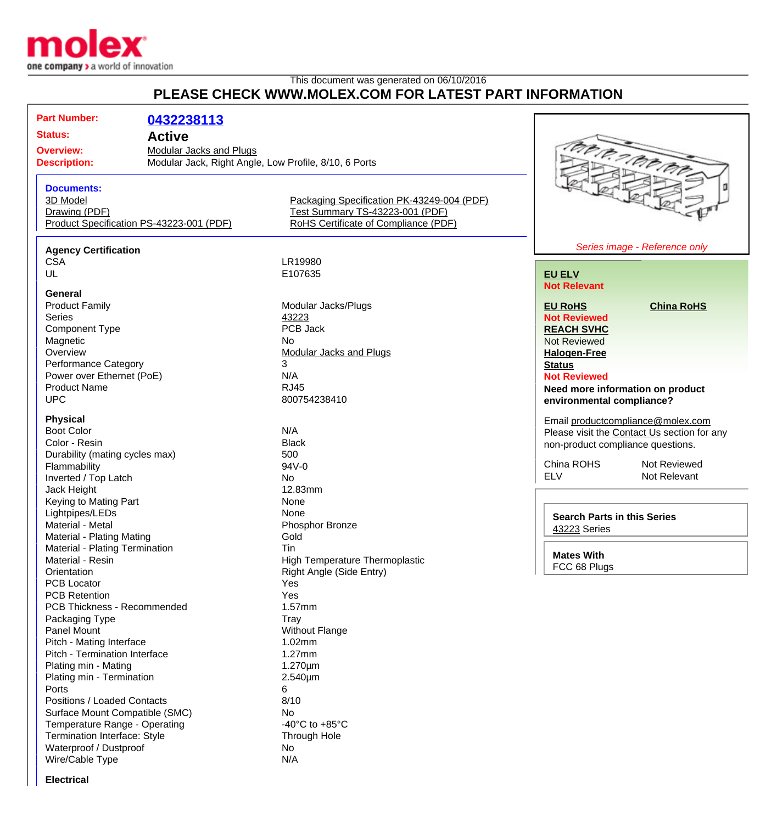

## This document was generated on 06/10/2016 **PLEASE CHECK WWW.MOLEX.COM FOR LATEST PART INFORMATION**

**Part Number: [0432238113](http://www.molex.com/molex/products/datasheet.jsp?part=active/0432238113_MODULAR_JACKS_PLUG.xml&channel=Products&Lang=en-US) Status: Active Overview:** [Modular Jacks and Plugs](http://www.molex.com/molex/products/group?channel=products&key=modular_plugs_jacks) **Description:** Modular Jack, Right Angle, Low Profile, 8/10, 6 Ports **Documents:** [3D Model](http://www.molex.com/molex/part/partModels.jsp?&prodLevel=part&series=&partNo=432238113&channel=Products) [Packaging Specification PK-43249-004 \(PDF\)](http://www.molex.com/pdm_docs/pk/PK-43249-004.pdf) [Drawing \(PDF\)](http://www.molex.com/pdm_docs/sd/432238113_sd.pdf) [Test Summary TS-43223-001 \(PDF\)](http://www.molex.com/pdm_docs/ts/TS-43223-001.pdf) [Product Specification PS-43223-001 \(PDF\)](http://www.molex.com/pdm_docs/ps/PS-43223-001.pdf) [RoHS Certificate of Compliance \(PDF\)](http://www.molex.com/datasheets/rohspdf/0432238113_rohs.pdf) **Agency Certification** CSA LR19980<br>UL E107635 E107635 **General** Product Family **Modular Jacks/Plugs**<br>
Series 43223 Series **Accord 2012** 3223 Component Type PCB Jack Magnetic No. No. 2012 No. 2013 Overview **[Modular Jacks and Plugs](http://www.molex.com/molex/products/group?channel=products&key=modular_plugs_jacks)** Performance Category 3 Power over Ethernet (PoE) N/A Product Name RJ45 UPC 800754238410

#### **Physical**

Boot Color N/A Color - Resin Black Durability (mating cycles max) 500 Flammability 94V-0 Inverted / Top Latch No Jack Height 12.83mm Keying to Mating Part None Lightpipes/LEDs None Material - Metal **Material - Metal** Phosphor Bronze Material - Plating Mating **Gold** Material - Plating Termination Tin Material - Resin **High Temperature Thermoplastic** High Temperature Thermoplastic Orientation **Contraction** Right Angle (Side Entry) PCB Locator **Yes** PCB Retention Yes PCB Thickness - Recommended 1.57mm Packaging Type Tray Panel Mount **Panel Mount** Panel Mount Pitch - Mating Interface 1.02mm Pitch - Termination Interface 1.27mm Plating min - Mating 1.270um Plating min - Termination 2.540um Ports 6 Positions / Loaded Contacts 8/10 Surface Mount Compatible (SMC) No Temperature Range - Operating  $-40^{\circ}$ C to +85°C Termination Interface: Style Through Hole Waterproof / Dustproof No Wire/Cable Type N/A



#### **[EU ELV](http://www.molex.com/molex/common/staticLoader.jsp?fileName=/webcontent/literature/EU_RoHS.html#eurohs) Not Relevant**

**[EU RoHS](http://www.molex.com/molex/common/staticLoader.jsp?fileName=/cmc_upload/0/000/-12/201/EU_RoHS.html#eurohs) [China RoHS](http://www.molex.com/molex/common/staticLoader.jsp?fileName=/cmc_upload/0/000/-12/201/china_RoHS.html#china)**

**Not Reviewed [REACH SVHC](http://www.molex.com/molex/common/staticLoader.jsp?fileName=/webcontent/contact/reach.html)** Not Reviewed **[Halogen-Free](http://www.molex.com/molex/common/staticLoader.jsp?fileName=/webcontent/contact/halogen_free.html)**

**[Status](http://www.molex.com/molex/common/staticLoader.jsp?fileName=/webcontent/contact/halogen_free.html)**

**Not Reviewed**

**Need more information on product environmental compliance?**

Email [productcompliance@molex.com](mailto:productcompliance@molex.com) Please visit the [Contact Us](http://www.molex.com/molex/contact/mxcontact.jsp?channel=Contact Us&channelId=-7) section for any non-product compliance questions.

China ROHS Not Reviewed<br>FLV Not Relevant Not Relevant

**Search Parts in this Series** [43223](http://www.molex.com/molex/products/listview.jsp?query=43223&sType=s) Series

**Mates With** FCC 68 Plugs

**Electrical**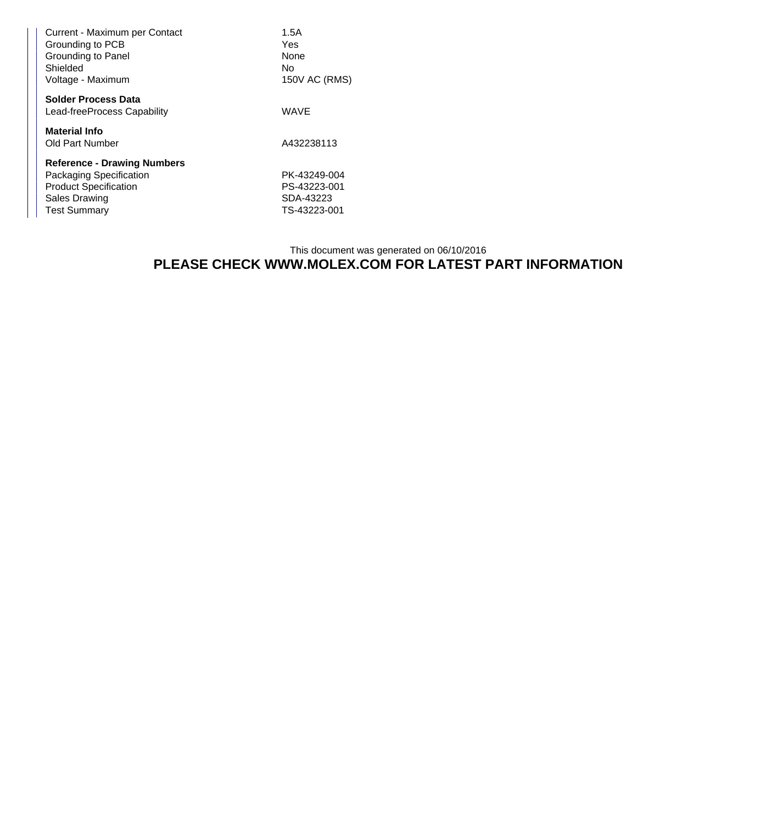| Current - Maximum per Contact<br>Grounding to PCB<br>Grounding to Panel<br>Shielded | 1.5A<br>Yes<br><b>None</b><br>No |
|-------------------------------------------------------------------------------------|----------------------------------|
| Voltage - Maximum                                                                   | 150V AC (RMS)                    |
| <b>Solder Process Data</b><br>Lead-freeProcess Capability                           | <b>WAVE</b>                      |
| <b>Material Info</b><br><b>Old Part Number</b>                                      | A432238113                       |
| <b>Reference - Drawing Numbers</b>                                                  |                                  |
| Packaging Specification                                                             | PK-43249-004                     |
| <b>Product Specification</b>                                                        | PS-43223-001                     |
| <b>Sales Drawing</b>                                                                | SDA-43223                        |
| <b>Test Summary</b>                                                                 | TS-43223-001                     |

### This document was generated on 06/10/2016 **PLEASE CHECK WWW.MOLEX.COM FOR LATEST PART INFORMATION**